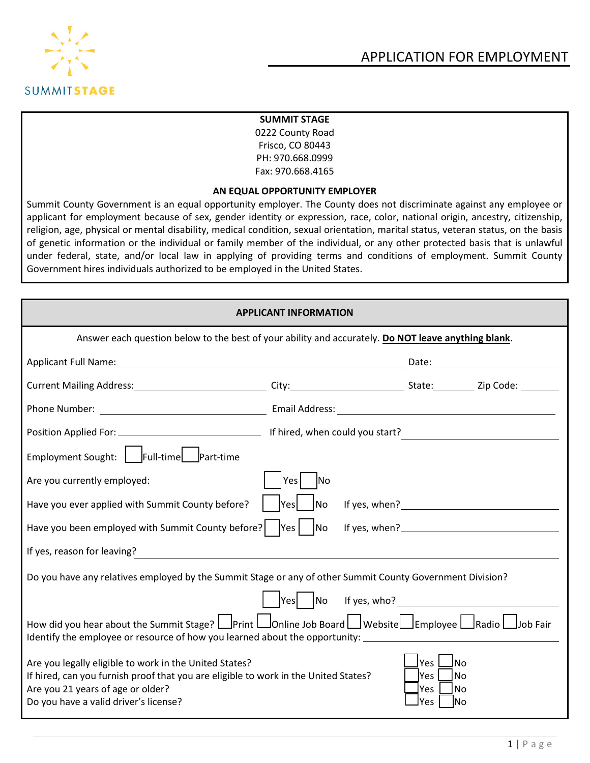



#### **SUMMIT STAGE**

0222 County Road Frisco, CO 80443 PH: 970.668.0999 Fax: 970.668.4165

#### **AN EQUAL OPPORTUNITY EMPLOYER**

Summit County Government is an equal opportunity employer. The County does not discriminate against any employee or applicant for employment because of sex, gender identity or expression, race, color, national origin, ancestry, citizenship, religion, age, physical or mental disability, medical condition, sexual orientation, marital status, veteran status, on the basis of genetic information or the individual or family member of the individual, or any other protected basis that is unlawful under federal, state, and/or local law in applying of providing terms and conditions of employment. Summit County Government hires individuals authorized to be employed in the United States.

| <b>APPLICANT INFORMATION</b>                                                                                                                                                                                                                      |                                                                                                                                                                                                                                                                                                                    |                                                                     |  |  |  |  |
|---------------------------------------------------------------------------------------------------------------------------------------------------------------------------------------------------------------------------------------------------|--------------------------------------------------------------------------------------------------------------------------------------------------------------------------------------------------------------------------------------------------------------------------------------------------------------------|---------------------------------------------------------------------|--|--|--|--|
| Answer each question below to the best of your ability and accurately. Do NOT leave anything blank.                                                                                                                                               |                                                                                                                                                                                                                                                                                                                    |                                                                     |  |  |  |  |
|                                                                                                                                                                                                                                                   |                                                                                                                                                                                                                                                                                                                    |                                                                     |  |  |  |  |
|                                                                                                                                                                                                                                                   |                                                                                                                                                                                                                                                                                                                    |                                                                     |  |  |  |  |
|                                                                                                                                                                                                                                                   |                                                                                                                                                                                                                                                                                                                    |                                                                     |  |  |  |  |
|                                                                                                                                                                                                                                                   |                                                                                                                                                                                                                                                                                                                    |                                                                     |  |  |  |  |
| Employment Sought: Full-time Part-time                                                                                                                                                                                                            |                                                                                                                                                                                                                                                                                                                    |                                                                     |  |  |  |  |
| Are you currently employed:                                                                                                                                                                                                                       | Yes<br><b>No</b>                                                                                                                                                                                                                                                                                                   |                                                                     |  |  |  |  |
| Have you ever applied with Summit County before?                                                                                                                                                                                                  | Yes <br>No                                                                                                                                                                                                                                                                                                         |                                                                     |  |  |  |  |
| Have you been employed with Summit County before?    Yes    No                                                                                                                                                                                    |                                                                                                                                                                                                                                                                                                                    |                                                                     |  |  |  |  |
| If yes, reason for leaving?<br><u> and the contract of the contract of the contract of the contract of the contract of the contract of the contract of the contract of the contract of the contract of the contract of the contrac</u>            |                                                                                                                                                                                                                                                                                                                    |                                                                     |  |  |  |  |
| Do you have any relatives employed by the Summit Stage or any of other Summit County Government Division?                                                                                                                                         |                                                                                                                                                                                                                                                                                                                    |                                                                     |  |  |  |  |
|                                                                                                                                                                                                                                                   | $\sqrt{Y}$ $\sqrt{Y}$ $\sqrt{Y}$ $\sqrt{Y}$ $\sqrt{Y}$ $\sqrt{Y}$ $\sqrt{Y}$ $\sqrt{Y}$ $\sqrt{Y}$ $\sqrt{Y}$ $\sqrt{Y}$ $\sqrt{Y}$ $\sqrt{Y}$ $\sqrt{Y}$ $\sqrt{Y}$ $\sqrt{Y}$ $\sqrt{Y}$ $\sqrt{Y}$ $\sqrt{Y}$ $\sqrt{Y}$ $\sqrt{Y}$ $\sqrt{Y}$ $\sqrt{Y}$ $\sqrt{Y}$ $\sqrt{Y}$ $\sqrt{Y}$ $\sqrt{Y}$ $\sqrt{Y$ |                                                                     |  |  |  |  |
| How did you hear about the Summit Stage? $\Box$ Print $\Box$ Online Job Board $\Box$ Website $\Box$ Employee $\Box$ Radio $\Box$ Job Fair<br>Identify the employee or resource of how you learned about the opportunity: ________________________ |                                                                                                                                                                                                                                                                                                                    |                                                                     |  |  |  |  |
| Are you legally eligible to work in the United States?<br>If hired, can you furnish proof that you are eligible to work in the United States?<br>Are you 21 years of age or older?<br>Do you have a valid driver's license?                       |                                                                                                                                                                                                                                                                                                                    | lYes l<br>⊿No<br> Yes<br>l No<br>lYes<br>l No<br>lYes<br><b>INo</b> |  |  |  |  |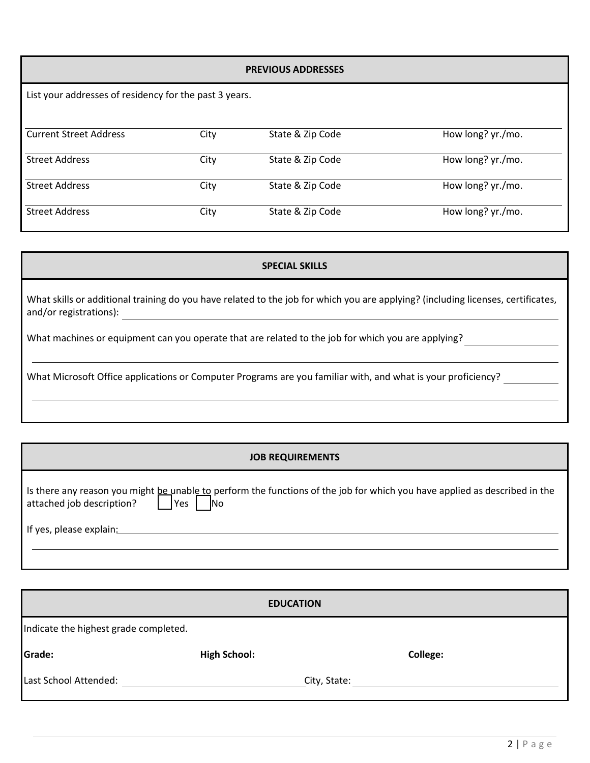# **PREVIOUS ADDRESSES** List your addresses of residency for the past 3 years. Current Street Address City State & Zip Code How long? yr./mo. Street Address City State & Zip Code How long? yr./mo. Street Address City State & Zip Code How long? yr./mo. Street Address City State & Zip Code How long? yr./mo.

## **SPECIAL SKILLS** What skills or additional training do you have related to the job for which you are applying? (including licenses, certificates, and/or registrations): What machines or equipment can you operate that are related to the job for which you are applying? What Microsoft Office applications or Computer Programs are you familiar with, and what is your proficiency?

| <b>JOB REQUIREMENTS</b>                                                                                                                                                        |  |  |  |  |  |
|--------------------------------------------------------------------------------------------------------------------------------------------------------------------------------|--|--|--|--|--|
| Is there any reason you might be unable to perform the functions of the job for which you have applied as described in the<br>attached job description?<br> Yes <br><b>INo</b> |  |  |  |  |  |
| If yes, please explain:                                                                                                                                                        |  |  |  |  |  |

|                                       | <b>EDUCATION</b>    |              |                 |
|---------------------------------------|---------------------|--------------|-----------------|
| Indicate the highest grade completed. |                     |              |                 |
| Grade:                                | <b>High School:</b> |              | <b>College:</b> |
| Last School Attended:                 |                     | City, State: |                 |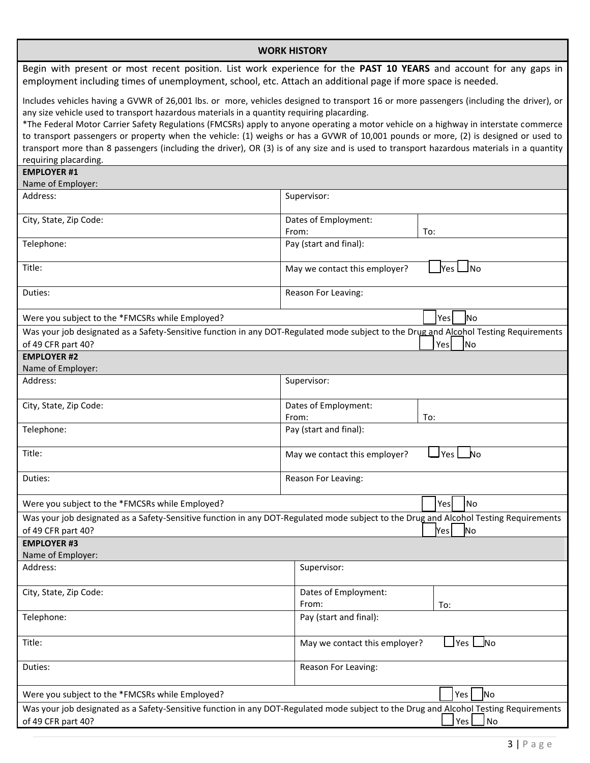| <b>WORK HISTORY</b>                                                                                                                                                                                                                                                                                                                                                                                                                                                                                                                                                                                                                                                                        |                                                                                                                                                           |  |  |  |  |
|--------------------------------------------------------------------------------------------------------------------------------------------------------------------------------------------------------------------------------------------------------------------------------------------------------------------------------------------------------------------------------------------------------------------------------------------------------------------------------------------------------------------------------------------------------------------------------------------------------------------------------------------------------------------------------------------|-----------------------------------------------------------------------------------------------------------------------------------------------------------|--|--|--|--|
| Begin with present or most recent position. List work experience for the PAST 10 YEARS and account for any gaps in<br>employment including times of unemployment, school, etc. Attach an additional page if more space is needed.                                                                                                                                                                                                                                                                                                                                                                                                                                                          |                                                                                                                                                           |  |  |  |  |
| Includes vehicles having a GVWR of 26,001 lbs. or more, vehicles designed to transport 16 or more passengers (including the driver), or<br>any size vehicle used to transport hazardous materials in a quantity requiring placarding.<br>*The Federal Motor Carrier Safety Regulations (FMCSRs) apply to anyone operating a motor vehicle on a highway in interstate commerce<br>to transport passengers or property when the vehicle: (1) weighs or has a GVWR of 10,001 pounds or more, (2) is designed or used to<br>transport more than 8 passengers (including the driver), OR (3) is of any size and is used to transport hazardous materials in a quantity<br>requiring placarding. |                                                                                                                                                           |  |  |  |  |
| <b>EMPLOYER #1</b><br>Name of Employer:                                                                                                                                                                                                                                                                                                                                                                                                                                                                                                                                                                                                                                                    |                                                                                                                                                           |  |  |  |  |
| Address:                                                                                                                                                                                                                                                                                                                                                                                                                                                                                                                                                                                                                                                                                   | Supervisor:                                                                                                                                               |  |  |  |  |
| City, State, Zip Code:                                                                                                                                                                                                                                                                                                                                                                                                                                                                                                                                                                                                                                                                     | Dates of Employment:<br>To:<br>From:                                                                                                                      |  |  |  |  |
| Telephone:                                                                                                                                                                                                                                                                                                                                                                                                                                                                                                                                                                                                                                                                                 | Pay (start and final):                                                                                                                                    |  |  |  |  |
| Title:                                                                                                                                                                                                                                                                                                                                                                                                                                                                                                                                                                                                                                                                                     | Ino<br><b>Yes</b><br>May we contact this employer?                                                                                                        |  |  |  |  |
| Duties:                                                                                                                                                                                                                                                                                                                                                                                                                                                                                                                                                                                                                                                                                    | Reason For Leaving:                                                                                                                                       |  |  |  |  |
| Were you subject to the *FMCSRs while Employed?                                                                                                                                                                                                                                                                                                                                                                                                                                                                                                                                                                                                                                            | <b>INo</b><br>Yes                                                                                                                                         |  |  |  |  |
| Was your job designated as a Safety-Sensitive function in any DOT-Regulated mode subject to the Drug and Alcohol Testing Requirements<br>of 49 CFR part 40?<br>Yes<br><b>No</b>                                                                                                                                                                                                                                                                                                                                                                                                                                                                                                            |                                                                                                                                                           |  |  |  |  |
| <b>EMPLOYER #2</b>                                                                                                                                                                                                                                                                                                                                                                                                                                                                                                                                                                                                                                                                         |                                                                                                                                                           |  |  |  |  |
| Name of Employer:<br>Address:                                                                                                                                                                                                                                                                                                                                                                                                                                                                                                                                                                                                                                                              | Supervisor:                                                                                                                                               |  |  |  |  |
| City, State, Zip Code:                                                                                                                                                                                                                                                                                                                                                                                                                                                                                                                                                                                                                                                                     | Dates of Employment:                                                                                                                                      |  |  |  |  |
|                                                                                                                                                                                                                                                                                                                                                                                                                                                                                                                                                                                                                                                                                            | From:<br>To:                                                                                                                                              |  |  |  |  |
| Telephone:                                                                                                                                                                                                                                                                                                                                                                                                                                                                                                                                                                                                                                                                                 | Pay (start and final):                                                                                                                                    |  |  |  |  |
| Title:                                                                                                                                                                                                                                                                                                                                                                                                                                                                                                                                                                                                                                                                                     | May we contact this employer?<br>lYes<br>N٥                                                                                                               |  |  |  |  |
| Duties:                                                                                                                                                                                                                                                                                                                                                                                                                                                                                                                                                                                                                                                                                    | Reason For Leaving:                                                                                                                                       |  |  |  |  |
| Were you subject to the *FMCSRs while Employed?                                                                                                                                                                                                                                                                                                                                                                                                                                                                                                                                                                                                                                            | No.<br>Yes                                                                                                                                                |  |  |  |  |
| of 49 CFR part 40?                                                                                                                                                                                                                                                                                                                                                                                                                                                                                                                                                                                                                                                                         | Was your job designated as a Safety-Sensitive function in any DOT-Regulated mode subject to the Drug and Alcohol Testing Requirements<br><b>No</b><br>Yes |  |  |  |  |
| <b>EMPLOYER #3</b>                                                                                                                                                                                                                                                                                                                                                                                                                                                                                                                                                                                                                                                                         |                                                                                                                                                           |  |  |  |  |
| Name of Employer:<br>Address:                                                                                                                                                                                                                                                                                                                                                                                                                                                                                                                                                                                                                                                              | Supervisor:                                                                                                                                               |  |  |  |  |
| City, State, Zip Code:                                                                                                                                                                                                                                                                                                                                                                                                                                                                                                                                                                                                                                                                     | Dates of Employment:<br>From:<br>To:                                                                                                                      |  |  |  |  |
| Telephone:                                                                                                                                                                                                                                                                                                                                                                                                                                                                                                                                                                                                                                                                                 | Pay (start and final):                                                                                                                                    |  |  |  |  |
| Title:                                                                                                                                                                                                                                                                                                                                                                                                                                                                                                                                                                                                                                                                                     | _No<br><b>Yes</b><br>May we contact this employer?                                                                                                        |  |  |  |  |
| Reason For Leaving:<br>Duties:                                                                                                                                                                                                                                                                                                                                                                                                                                                                                                                                                                                                                                                             |                                                                                                                                                           |  |  |  |  |
| Were you subject to the *FMCSRs while Employed?                                                                                                                                                                                                                                                                                                                                                                                                                                                                                                                                                                                                                                            | Yes<br>No                                                                                                                                                 |  |  |  |  |
| of 49 CFR part 40?                                                                                                                                                                                                                                                                                                                                                                                                                                                                                                                                                                                                                                                                         | Was your job designated as a Safety-Sensitive function in any DOT-Regulated mode subject to the Drug and Alcohol Testing Requirements<br>Yes<br><b>No</b> |  |  |  |  |
|                                                                                                                                                                                                                                                                                                                                                                                                                                                                                                                                                                                                                                                                                            |                                                                                                                                                           |  |  |  |  |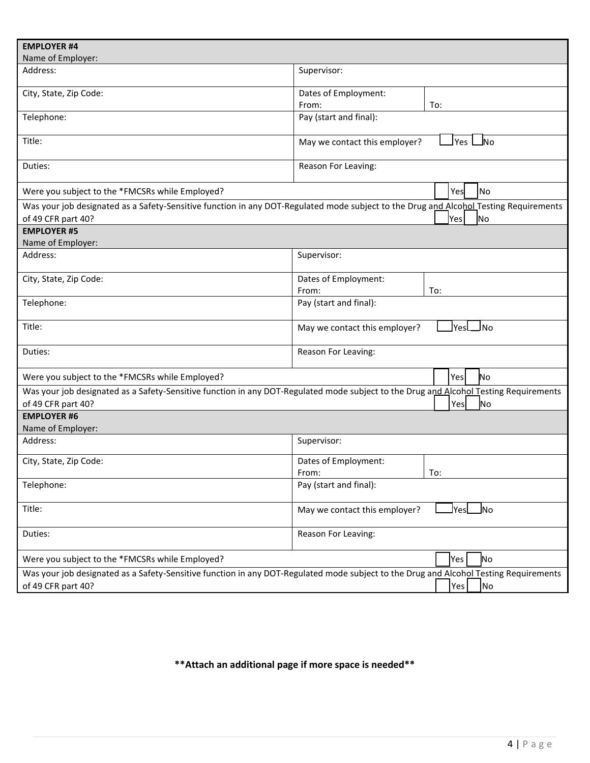| <b>EMPLOYER #4</b>                              |                                                                                                                                                    |
|-------------------------------------------------|----------------------------------------------------------------------------------------------------------------------------------------------------|
| Name of Employer:                               |                                                                                                                                                    |
| Address:                                        | Supervisor:                                                                                                                                        |
| City, State, Zip Code:                          | Dates of Employment:                                                                                                                               |
|                                                 | From:<br>To:                                                                                                                                       |
| Telephone:                                      | Pay (start and final):                                                                                                                             |
| Title:                                          | l Yes<br><u>J</u> No<br>May we contact this employer?                                                                                              |
| Duties:                                         | Reason For Leaving:                                                                                                                                |
| Were you subject to the *FMCSRs while Employed? | No<br>Yes                                                                                                                                          |
| of 49 CFR part 40?                              | Was your job designated as a Safety-Sensitive function in any DOT-Regulated mode subject to the Drug and Alcohol Testing Requirements<br>Yes<br>No |
| <b>EMPLOYER #5</b>                              |                                                                                                                                                    |
| Name of Employer:                               |                                                                                                                                                    |
| Address:                                        | Supervisor:                                                                                                                                        |
| City, State, Zip Code:                          | Dates of Employment:                                                                                                                               |
|                                                 | From:<br>To:                                                                                                                                       |
| Telephone:                                      | Pay (start and final):                                                                                                                             |
| Title:                                          | JNo<br><u> </u> YesL<br>May we contact this employer?                                                                                              |
| Duties:                                         | Reason For Leaving:                                                                                                                                |
| Were you subject to the *FMCSRs while Employed? | No<br>Yes                                                                                                                                          |
|                                                 | Was your job designated as a Safety-Sensitive function in any DOT-Regulated mode subject to the Drug and Alcohol Testing Requirements              |
| of 49 CFR part 40?                              | Yes<br>lNo                                                                                                                                         |
| <b>EMPLOYER #6</b><br>Name of Employer:         |                                                                                                                                                    |
| Address:                                        | Supervisor:                                                                                                                                        |
| City, State, Zip Code:                          | Dates of Employment:<br>From:<br>To:                                                                                                               |
| Telephone:                                      | Pay (start and final):                                                                                                                             |
| Title:                                          | $\mathsf{Yes}$<br>$\blacksquare$<br>May we contact this employer?                                                                                  |
| Duties:                                         | Reason For Leaving:                                                                                                                                |
| Were you subject to the *FMCSRs while Employed? | No<br>Yes                                                                                                                                          |
|                                                 | Was your job designated as a Safety-Sensitive function in any DOT-Regulated mode subject to the Drug and Alcohol Testing Requirements              |
| of 49 CFR part 40?                              | Yes<br>No)                                                                                                                                         |

### **\*\*Attach an additional page if more space is needed\*\***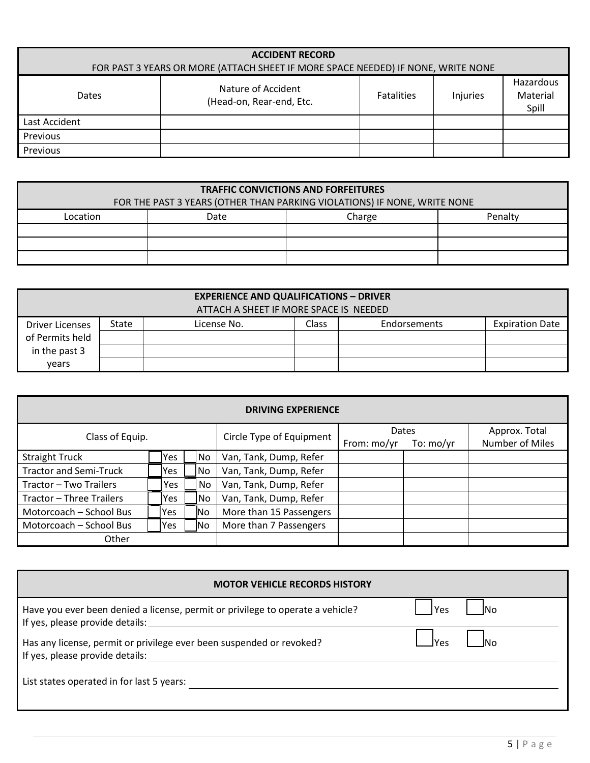| <b>ACCIDENT RECORD</b><br>FOR PAST 3 YEARS OR MORE (ATTACH SHEET IF MORE SPACE NEEDED) IF NONE, WRITE NONE                        |  |  |  |  |  |  |
|-----------------------------------------------------------------------------------------------------------------------------------|--|--|--|--|--|--|
| Hazardous<br>Nature of Accident<br>Material<br><b>Fatalities</b><br>Injuries<br><b>Dates</b><br>(Head-on, Rear-end, Etc.<br>Spill |  |  |  |  |  |  |
| Last Accident                                                                                                                     |  |  |  |  |  |  |
| Previous                                                                                                                          |  |  |  |  |  |  |
| Previous                                                                                                                          |  |  |  |  |  |  |

| <b>TRAFFIC CONVICTIONS AND FORFEITURES</b>                               |                           |  |  |  |  |  |  |  |
|--------------------------------------------------------------------------|---------------------------|--|--|--|--|--|--|--|
| FOR THE PAST 3 YEARS (OTHER THAN PARKING VIOLATIONS) IF NONE, WRITE NONE |                           |  |  |  |  |  |  |  |
| Location                                                                 | Penalty<br>Charge<br>Date |  |  |  |  |  |  |  |
|                                                                          |                           |  |  |  |  |  |  |  |
|                                                                          |                           |  |  |  |  |  |  |  |
|                                                                          |                           |  |  |  |  |  |  |  |

| <b>EXPERIENCE AND QUALIFICATIONS - DRIVER</b> |       |                                                                       |  |  |  |  |  |  |
|-----------------------------------------------|-------|-----------------------------------------------------------------------|--|--|--|--|--|--|
| ATTACH A SHEET IF MORE SPACE IS NEEDED        |       |                                                                       |  |  |  |  |  |  |
| <b>Driver Licenses</b>                        | State | <b>Endorsements</b><br><b>Expiration Date</b><br>Class<br>License No. |  |  |  |  |  |  |
| of Permits held                               |       |                                                                       |  |  |  |  |  |  |
| in the past 3                                 |       |                                                                       |  |  |  |  |  |  |
| vears                                         |       |                                                                       |  |  |  |  |  |  |

| <b>DRIVING EXPERIENCE</b>     |            |           |                          |             |               |                 |
|-------------------------------|------------|-----------|--------------------------|-------------|---------------|-----------------|
|                               |            |           |                          | Dates       | Approx. Total |                 |
| Class of Equip.               |            |           | Circle Type of Equipment | From: mo/yr | To: $mo/yr$   | Number of Miles |
| <b>Straight Truck</b>         | Yes.       | No        | Van, Tank, Dump, Refer   |             |               |                 |
| <b>Tractor and Semi-Truck</b> | lYes.      | No        | Van, Tank, Dump, Refer   |             |               |                 |
| Tractor - Two Trailers        | <b>Yes</b> | No        | Van, Tank, Dump, Refer   |             |               |                 |
| Tractor - Three Trailers      | Yes.       | No        | Van, Tank, Dump, Refer   |             |               |                 |
| Motorcoach - School Bus       | <b>Yes</b> | <b>No</b> | More than 15 Passengers  |             |               |                 |
| Motorcoach - School Bus       | Yes        | lNo       | More than 7 Passengers   |             |               |                 |
| Other                         |            |           |                          |             |               |                 |

| <b>MOTOR VEHICLE RECORDS HISTORY</b>                                                                                             |            |
|----------------------------------------------------------------------------------------------------------------------------------|------------|
| Have you ever been denied a license, permit or privilege to operate a vehicle?<br>If yes, please provide details: ______________ | Yes<br>INo |
| Has any license, permit or privilege ever been suspended or revoked?<br>If yes, please provide details:                          |            |
| List states operated in for last 5 years:                                                                                        |            |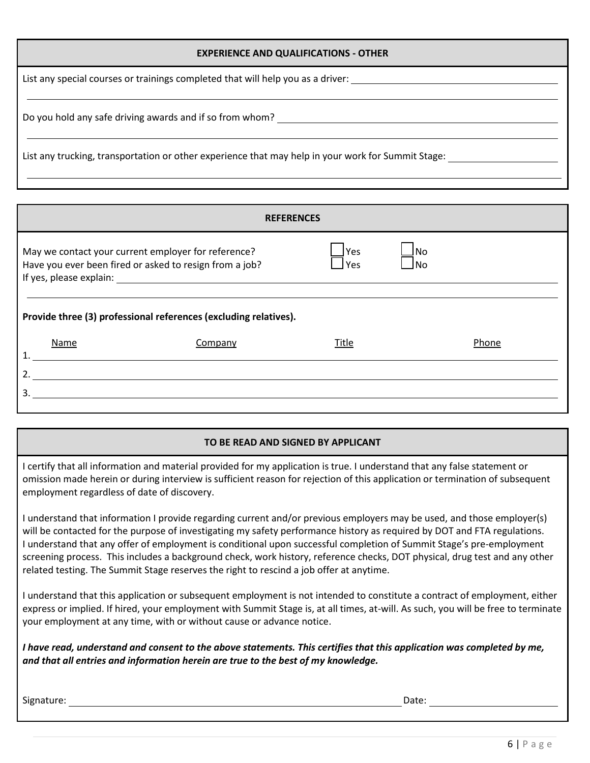List any special courses or trainings completed that will help you as a driver:

Do you hold any safe driving awards and if so from whom?

List any trucking, transportation or other experience that may help in your work for Summit Stage:

| <b>REFERENCES</b>                                                                                                                                                                                                             |                                                                  |       |  |       |  |  |  |  |
|-------------------------------------------------------------------------------------------------------------------------------------------------------------------------------------------------------------------------------|------------------------------------------------------------------|-------|--|-------|--|--|--|--|
| May we contact your current employer for reference?<br>JNo<br><b>Yes</b><br>Have you ever been fired or asked to resign from a job?<br>lNo<br>Yes<br>If yes, please explain:<br><u> 1989 - Andrea Andrew Maria (h. 1989).</u> |                                                                  |       |  |       |  |  |  |  |
|                                                                                                                                                                                                                               |                                                                  |       |  |       |  |  |  |  |
|                                                                                                                                                                                                                               | Provide three (3) professional references (excluding relatives). |       |  |       |  |  |  |  |
| Name                                                                                                                                                                                                                          | Company                                                          | Title |  | Phone |  |  |  |  |
| 2.                                                                                                                                                                                                                            |                                                                  |       |  |       |  |  |  |  |
| 3.                                                                                                                                                                                                                            |                                                                  |       |  |       |  |  |  |  |
|                                                                                                                                                                                                                               |                                                                  |       |  |       |  |  |  |  |

#### **TO BE READ AND SIGNED BY APPLICANT**

I certify that all information and material provided for my application is true. I understand that any false statement or omission made herein or during interview is sufficient reason for rejection of this application or termination of subsequent employment regardless of date of discovery.

I understand that information I provide regarding current and/or previous employers may be used, and those employer(s) will be contacted for the purpose of investigating my safety performance history as required by DOT and FTA regulations. I understand that any offer of employment is conditional upon successful completion of Summit Stage's pre-employment screening process. This includes a background check, work history, reference checks, DOT physical, drug test and any other related testing. The Summit Stage reserves the right to rescind a job offer at anytime.

I understand that this application or subsequent employment is not intended to constitute a contract of employment, either express or implied. If hired, your employment with Summit Stage is, at all times, at-will. As such, you will be free to terminate your employment at any time, with or without cause or advance notice.

*I have read, understand and consent to the above statements. This certifies that this application was completed by me, and that all entries and information herein are true to the best of my knowledge.*

Signature: Date: Date: Date: Date: Date: Date: Date: Date: Date: Date: Date: Date: Date: Date: Date: Date: Date: Date: Date: Date: Date: Date: Date: Date: Date: Date: Date: Date: Date: Date: Date: Date: Date: Date: Date: D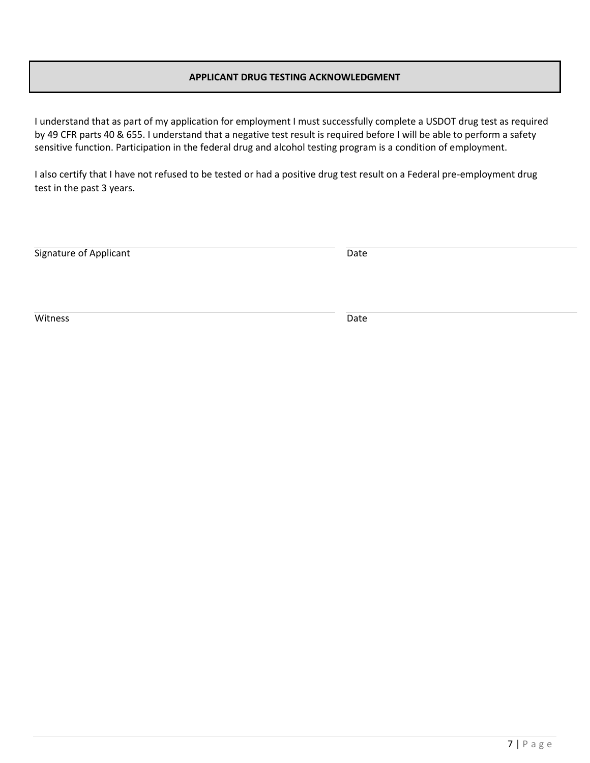#### **APPLICANT DRUG TESTING ACKNOWLEDGMENT**

I understand that as part of my application for employment I must successfully complete a USDOT drug test as required by 49 CFR parts 40 & 655. I understand that a negative test result is required before I will be able to perform a safety sensitive function. Participation in the federal drug and alcohol testing program is a condition of employment.

I also certify that I have not refused to be tested or had a positive drug test result on a Federal pre-employment drug test in the past 3 years.

| Signature of Applicant | Date |
|------------------------|------|
|                        |      |

Witness **Date**